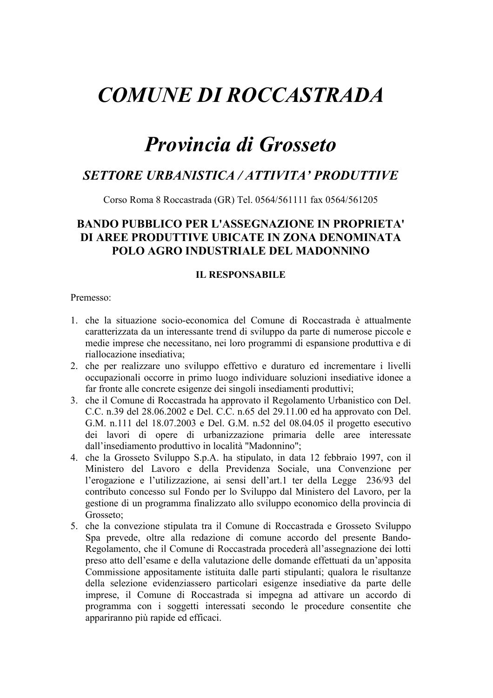# **COMUNE DI ROCCASTRADA**

## **Provincia di Grosseto**

## **SETTORE URBANISTICA / ATTIVITA' PRODUTTIVE**

Corso Roma 8 Roccastrada (GR) Tel. 0564/561111 fax 0564/561205

### **BANDO PUBBLICO PER L'ASSEGNAZIONE IN PROPRIETA'** DI AREE PRODUTTIVE UBICATE IN ZONA DENOMINATA **POLO AGRO INDUSTRIALE DEL MADONNINO**

#### **IL RESPONSABILE**

Premesso<sup>-</sup>

- 1. che la situazione socio-economica del Comune di Roccastrada è attualmente caratterizzata da un interessante trend di sviluppo da parte di numerose piccole e medie imprese che necessitano, nei loro programmi di espansione produttiva e di riallocazione insediativa;
- 2. che per realizzare uno sviluppo effettivo e duraturo ed incrementare i livelli occupazionali occorre in primo luogo individuare soluzioni insediative idonee a far fronte alle concrete esigenze dei singoli insediamenti produttivi;
- 3. che il Comune di Roccastrada ha approvato il Regolamento Urbanistico con Del. C.C. n.39 del 28.06.2002 e Del. C.C. n.65 del 29.11.00 ed ha approvato con Del. G.M. n.111 del 18.07.2003 e Del. G.M. n.52 del 08.04.05 il progetto esecutivo dei lavori di opere di urbanizzazione primaria delle aree interessate dall'insediamento produttivo in località "Madonnino";
- 4. che la Grosseto Sviluppo S.p.A. ha stipulato, in data 12 febbraio 1997, con il Ministero del Lavoro e della Previdenza Sociale, una Convenzione per l'erogazione e l'utilizzazione, ai sensi dell'art.1 ter della Legge 236/93 del contributo concesso sul Fondo per lo Sviluppo dal Ministero del Lavoro, per la gestione di un programma finalizzato allo sviluppo economico della provincia di Grosseto<sup>-</sup>
- 5. che la convezione stipulata tra il Comune di Roccastrada e Grosseto Sviluppo Spa prevede, oltre alla redazione di comune accordo del presente Bando-Regolamento, che il Comune di Roccastrada procederà all'assegnazione dei lotti preso atto dell'esame e della valutazione delle domande effettuati da un'apposita Commissione appositamente istituita dalle parti stipulanti; qualora le risultanze della selezione evidenziassero particolari esigenze insediative da parte delle imprese, il Comune di Roccastrada si impegna ad attivare un accordo di programma con i soggetti interessati secondo le procedure consentite che appariranno più rapide ed efficaci.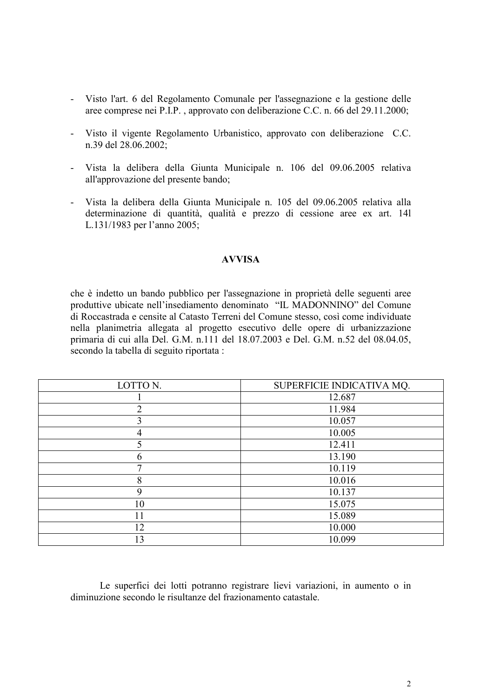- Visto l'art. 6 del Regolamento Comunale per l'assegnazione e la gestione delle  $\mathbf{L}^{\mathrm{eff}}$ aree comprese nei P.I.P., approvato con deliberazione C.C. n. 66 del 29.11.2000;
- Visto il vigente Regolamento Urbanistico, approvato con deliberazione C.C.  $\mathcal{L}^{\text{max}}$ n.39 del 28.06.2002;
- Vista la delibera della Giunta Municipale n. 106 del 09.06.2005 relativa all'approvazione del presente bando;
- Vista la delibera della Giunta Municipale n. 105 del 09.06.2005 relativa alla  $\Delta \phi$ determinazione di quantità, qualità e prezzo di cessione aree ex art. 141 L.131/1983 per l'anno 2005;

#### **AVVISA**

che è indetto un bando pubblico per l'assegnazione in proprietà delle seguenti aree produttive ubicate nell'insediamento denominato "IL MADONNINO" del Comune di Roccastrada e censite al Catasto Terreni del Comune stesso, così come individuate nella planimetria allegata al progetto esecutivo delle opere di urbanizzazione primaria di cui alla Del. G.M. n.111 del 18.07.2003 e Del. G.M. n.52 del 08.04.05, secondo la tabella di seguito riportata :

| LOTTO N.    | SUPERFICIE INDICATIVA MQ. |
|-------------|---------------------------|
|             | 12.687                    |
| ↑           | 11.984                    |
| 3           | 10.057                    |
| 4           | 10.005                    |
| 5           | 12.411                    |
| 6           | 13.190                    |
|             | 10.119                    |
| 8           | 10.016                    |
| $\mathbf Q$ | 10.137                    |
| 10          | 15.075                    |
| 11          | 15.089                    |
| 12          | 10.000                    |
| 13          | 10.099                    |

Le superfici dei lotti potranno registrare lievi variazioni, in aumento o in diminuzione secondo le risultanze del frazionamento catastale.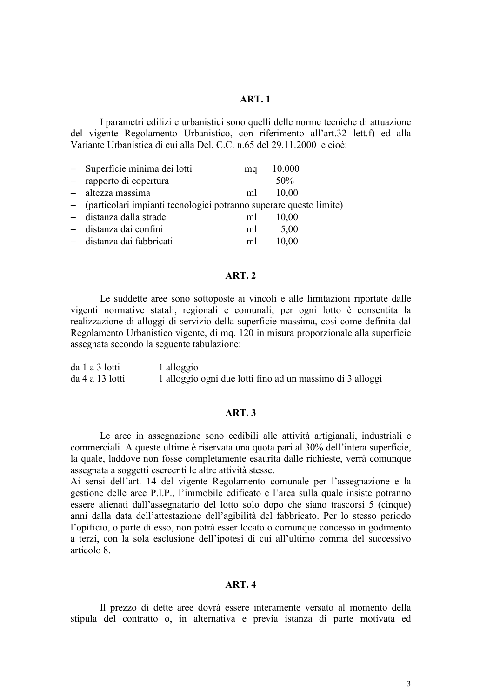#### **ART. 1**

I parametri edilizi e urbanistici sono quelli delle norme tecniche di attuazione del vigente Regolamento Urbanistico, con riferimento all'art.32 lett.f) ed alla Variante Urbanistica di cui alla Del CC n 65 del 29 11 2000 e cioè

| - Superficie minima dei lotti                                        | ma | 10.000 |
|----------------------------------------------------------------------|----|--------|
| - rapporto di copertura                                              |    | 50%    |
| - altezza massima                                                    | ml | 10,00  |
| - (particolari impianti tecnologici potranno superare questo limite) |    |        |
| - distanza dalla strade                                              | ml | 10,00  |
| - distanza dai confini                                               | ml | 5,00   |
| - distanza dai fabbricati                                            | ml | 10,00  |

#### **ART. 2**

Le suddette aree sono sottoposte ai vincoli e alle limitazioni riportate dalle vigenti normative statali, regionali e comunali; per ogni lotto è consentita la realizzazione di alloggi di servizio della superficie massima, così come definita dal Regolamento Urbanistico vigente, di mg. 120 in misura proporzionale alla superficie assegnata secondo la seguente tabulazione:

| da 1 a 3 lotti  | 1 alloggio                                                |
|-----------------|-----------------------------------------------------------|
| da 4 a 13 lotti | 1 alloggio ogni due lotti fino ad un massimo di 3 alloggi |

#### **ART.3**

Le aree in assegnazione sono cedibili alle attività artigianali, industriali e commerciali. A queste ultime è riservata una quota pari al 30% dell'intera superficie, la quale, laddove non fosse completamente esaurita dalle richieste, verrà comunque assegnata a soggetti esercenti le altre attività stesse.

Ai sensi dell'art. 14 del vigente Regolamento comunale per l'assegnazione e la gestione delle aree P.I.P., l'immobile edificato e l'area sulla quale insiste potranno essere alienati dall'assegnatario del lotto solo dopo che siano trascorsi 5 (cinque) anni dalla data dell'attestazione dell'agibilità del fabbricato. Per lo stesso periodo l'opificio, o parte di esso, non potrà esser locato o comunque concesso in godimento a terzi, con la sola esclusione dell'ipotesi di cui all'ultimo comma del successivo articolo 8

#### $ART.4$

Il prezzo di dette aree dovrà essere interamente versato al momento della stipula del contratto o, in alternativa e previa istanza di parte motivata ed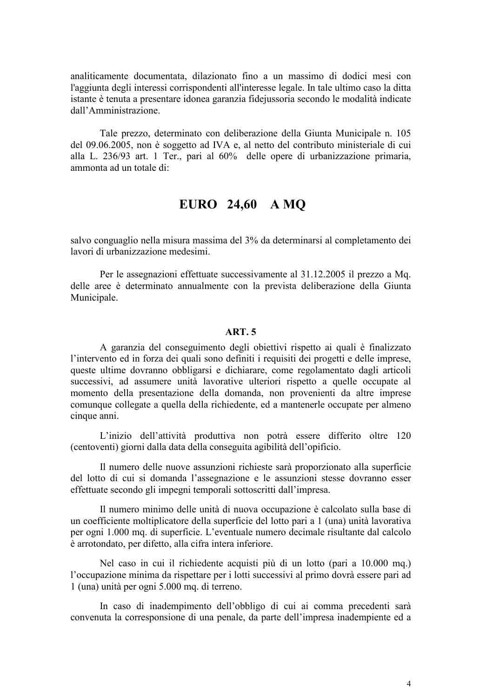analiticamente documentata, dilazionato fino a un massimo di dodici mesi con l'aggiunta degli interessi corrispondenti all'interesse legale. In tale ultimo caso la ditta istante è tenuta a presentare idonea garanzia fidejussoria secondo le modalità indicate dall'Amministrazione.

Tale prezzo, determinato con deliberazione della Giunta Municipale n. 105 del 09.06.2005, non è soggetto ad IVA e, al netto del contributo ministeriale di cui alla L. 236/93 art. 1 Ter., pari al 60% delle opere di urbanizzazione primaria, ammonta ad un totale di:

## EURO 24,60 A MO

salvo conguaglio nella misura massima del 3% da determinarsi al completamento dei lavori di urbanizzazione medesimi.

Per le assegnazioni effettuate successivamente al 31.12.2005 il prezzo a Mq. delle aree è determinato annualmente con la prevista deliberazione della Giunta Municipale.

#### **ART.5**

A garanzia del conseguimento degli obiettivi rispetto ai quali è finalizzato l'intervento ed in forza dei quali sono definiti i requisiti dei progetti e delle imprese. queste ultime dovranno obbligarsi e dichiarare, come regolamentato dagli articoli successivi, ad assumere unità lavorative ulteriori rispetto a quelle occupate al momento della presentazione della domanda, non provenienti da altre imprese comunque collegate a quella della richiedente, ed a mantenerle occupate per almeno cinque anni.

L'inizio dell'attività produttiva non potrà essere differito oltre 120 (centoventi) giorni dalla data della conseguita agibilità dell'opificio.

Il numero delle nuove assunzioni richieste sarà proporzionato alla superficie del lotto di cui si domanda l'assegnazione e le assunzioni stesse dovranno esser effettuate secondo gli impegni temporali sottoscritti dall'impresa.

Il numero minimo delle unità di nuova occupazione è calcolato sulla base di un coefficiente moltiplicatore della superficie del lotto pari a 1 (una) unità lavorativa per ogni 1.000 mq. di superficie. L'eventuale numero decimale risultante dal calcolo è arrotondato, per difetto, alla cifra intera inferiore.

Nel caso in cui il richiedente acquisti più di un lotto (pari a 10.000 mq.) l'occupazione minima da rispettare per i lotti successivi al primo dovrà essere pari ad 1 (una) unità per ogni 5.000 mq. di terreno.

In caso di inadempimento dell'obbligo di cui ai comma precedenti sarà convenuta la corresponsione di una penale, da parte dell'impresa inadempiente ed a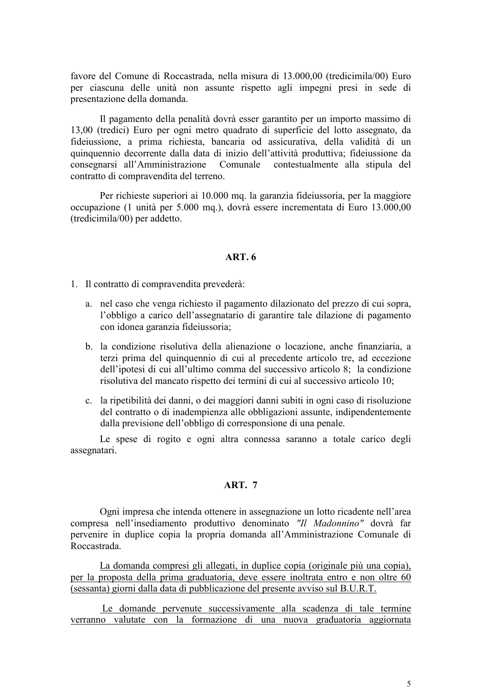favore del Comune di Roccastrada, nella misura di 13.000.00 (tredicimila/00) Euro per ciascuna delle unità non assunte rispetto agli impegni presi in sede di presentazione della domanda.

Il pagamento della penalità dovrà esser garantito per un importo massimo di 13,00 (tredici) Euro per ogni metro quadrato di superficie del lotto assegnato, da fideiussione, a prima richiesta, bancaria od assicurativa, della validità di un quinquennio decorrente dalla data di inizio dell'attività produttiva; fideiussione da consegnarsi all'Amministrazione Comunale contestualmente alla stipula del contratto di compravendita del terreno.

Per richieste superiori ai 10.000 mg. la garanzia fideiussoria, per la maggiore occupazione (1 unità per 5.000 mg.), dovrà essere incrementata di Euro 13.000,00 (tredicimila/00) per addetto.

#### $ART.6$

1. Il contratto di compravendita prevederà:

- a. nel caso che venga richiesto il pagamento dilazionato del prezzo di cui sopra, l'obbligo a carico dell'assegnatario di garantire tale dilazione di pagamento con idonea garanzia fideiussoria;
- b. la condizione risolutiva della alienazione o locazione, anche finanziaria, a terzi prima del quinquennio di cui al precedente articolo tre, ad eccezione dell'inotesi di cui all'ultimo comma del successivo articolo 8: la condizione risolutiva del mancato rispetto dei termini di cui al successivo articolo 10;
- c. la ripetibilità dei danni, o dei maggiori danni subiti in ogni caso di risoluzione del contratto o di inadempienza alle obbligazioni assunte, indipendentemente dalla previsione dell'obbligo di corresponsione di una penale.

Le spese di rogito e ogni altra connessa saranno a totale carico degli assegnatari.

#### **ART. 7**

Ogni impresa che intenda ottenere in assegnazione un lotto ricadente nell'area compresa nell'insediamento produttivo denominato "Il Madonnino" dovrà far pervenire in duplice copia la propria domanda all'Amministrazione Comunale di Roccastrada.

La domanda compresi gli allegati, in duplice copia (originale più una copia), per la proposta della prima graduatoria, deve essere inoltrata entro e non oltre 60 (sessanta) giorni dalla data di pubblicazione del presente avviso sul B.U.R.T.

Le domande pervenute successivamente alla scadenza di tale termine verranno valutate con la formazione di una nuova graduatoria aggiornata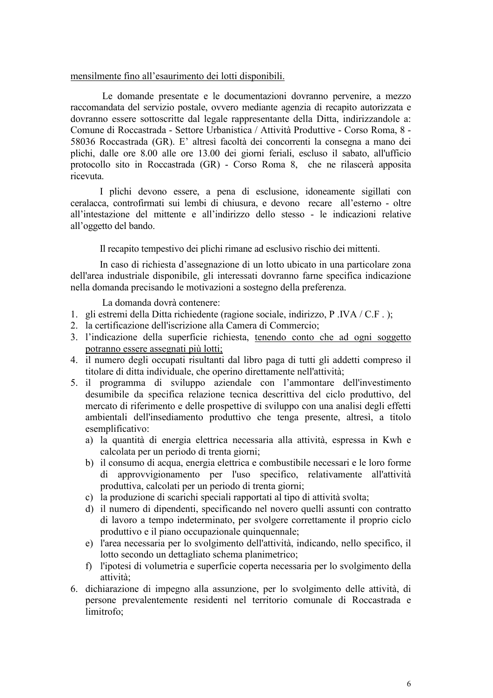#### mensilmente fino all'esaurimento dei lotti disponibili.

Le domande presentate e le documentazioni dovranno pervenire, a mezzo raccomandata del servizio postale, ovvero mediante agenzia di recapito autorizzata e dovranno essere sottoscritte dal legale rappresentante della Ditta, indirizzandole a: Comune di Roccastrada - Settore Urbanistica / Attività Produttive - Corso Roma, 8 -58036 Roccastrada (GR). E' altresì facoltà dei concorrenti la consegna a mano dei plichi, dalle ore 8.00 alle ore 13.00 dei giorni feriali, escluso il sabato, all'ufficio protocollo sito in Roccastrada (GR) - Corso Roma 8, che ne rilascerà apposita ricevuta.

I plichi devono essere, a pena di esclusione, idoneamente sigillati con ceralacca, controfirmati sui lembi di chiusura, e devono recare all'esterno - oltre all'intestazione del mittente e all'indirizzo dello stesso - le indicazioni relative all'oggetto del bando.

Il recapito tempestivo dei plichi rimane ad esclusivo rischio dei mittenti.

In caso di richiesta d'assegnazione di un lotto ubicato in una particolare zona dell'area industriale disponibile, gli interessati dovranno farne specifica indicazione nella domanda precisando le motivazioni a sostegno della preferenza.

La domanda dovrà contenere:

- 1. gli estremi della Ditta richiedente (ragione sociale, indirizzo, P. IVA / C.F.);
- 2. la certificazione dell'iscrizione alla Camera di Commercio;
- 3. l'indicazione della superficie richiesta, tenendo conto che ad ogni soggetto potranno essere assegnati più lotti;
- 4. il numero degli occupati risultanti dal libro paga di tutti gli addetti compreso il titolare di ditta individuale, che operino direttamente nell'attività;
- 5. il programma di sviluppo aziendale con l'ammontare dell'investimento desumibile da specifica relazione tecnica descrittiva del ciclo produttivo, del mercato di riferimento e delle prospettive di sviluppo con una analisi degli effetti ambientali dell'insediamento produttivo che tenga presente, altresì, a titolo esemplificativo:
	- a) la quantità di energia elettrica necessaria alla attività, espressa in Kwh e calcolata per un periodo di trenta giorni;
	- b) il consumo di acqua, energia elettrica e combustibile necessari e le loro forme di approvvigionamento per l'uso specifico, relativamente all'attività produttiva, calcolati per un periodo di trenta giorni;
	- c) la produzione di scarichi speciali rapportati al tipo di attività svolta:
	- d) il numero di dipendenti, specificando nel novero quelli assunti con contratto di lavoro a tempo indeterminato, per svolgere correttamente il proprio ciclo produttivo e il piano occupazionale quinquennale;
	- e) l'area necessaria per lo svolgimento dell'attività, indicando, nello specifico, il lotto secondo un dettagliato schema planimetrico;
	- f) l'ipotesi di volumetria e superficie coperta necessaria per lo svolgimento della attività<sup>-</sup>
- 6. dichiarazione di impegno alla assunzione, per lo svolgimento delle attività, di persone prevalentemente residenti nel territorio comunale di Roccastrada e limitrofo: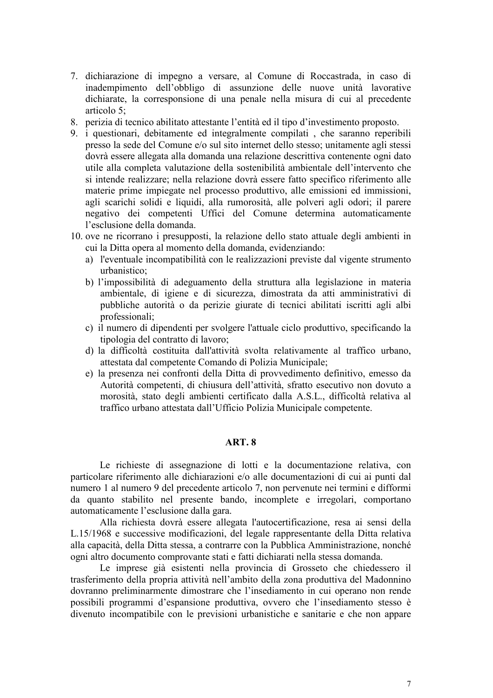- 7. dichiarazione di impegno a versare, al Comune di Roccastrada, in caso di inadempimento dell'obbligo di assunzione delle nuove unità lavorative dichiarate, la corresponsione di una penale nella misura di cui al precedente articolo 5:
- 8. perizia di tecnico abilitato attestante l'entità ed il tipo d'investimento proposto.
- 9. i questionari, debitamente ed integralmente compilati, che saranno reperibili presso la sede del Comune e/o sul sito internet dello stesso; unitamente agli stessi dovrà essere allegata alla domanda una relazione descrittiva contenente ogni dato utile alla completa valutazione della sostenibilità ambientale dell'intervento che si intende realizzare: nella relazione dovrà essere fatto specifico riferimento alle materie prime impiegate nel processo produttivo, alle emissioni ed immissioni, agli scarichi solidi e liquidi, alla rumorosità, alle polveri agli odori; il parere negativo dei competenti Uffici del Comune determina automaticamente l'esclusione della domanda.
- 10. ove ne ricorrano i presupposti, la relazione dello stato attuale degli ambienti in cui la Ditta opera al momento della domanda, evidenziando:
	- a) l'eventuale incompatibilità con le realizzazioni previste dal vigente strumento urbanistico:
	- b) l'impossibilità di adeguamento della struttura alla legislazione in materia ambientale, di igiene e di sicurezza, dimostrata da atti amministrativi di pubbliche autorità o da perizie giurate di tecnici abilitati iscritti agli albi professionali:
	- c) il numero di dipendenti per svolgere l'attuale ciclo produttivo, specificando la tipologia del contratto di lavoro;
	- d) la difficoltà costituita dall'attività svolta relativamente al traffico urbano, attestata dal competente Comando di Polizia Municipale;
	- e) la presenza nei confronti della Ditta di provvedimento definitivo, emesso da Autorità competenti, di chiusura dell'attività, sfratto esecutivo non dovuto a morosità, stato degli ambienti certificato dalla A.S.L., difficoltà relativa al traffico urbano attestata dall'Ufficio Polizia Municipale competente.

#### ART. 8

Le richieste di assegnazione di lotti e la documentazione relativa, con particolare riferimento alle dichiarazioni e/o alle documentazioni di cui ai punti dal numero 1 al numero 9 del precedente articolo 7, non pervenute nei termini e difformi da quanto stabilito nel presente bando, incomplete e irregolari, comportano automaticamente l'esclusione dalla gara.

Alla richiesta dovrà essere allegata l'autocertificazione, resa ai sensi della L.15/1968 e successive modificazioni, del legale rappresentante della Ditta relativa alla capacità, della Ditta stessa, a contrarre con la Pubblica Amministrazione, nonché ogni altro documento comprovante stati e fatti dichiarati nella stessa domanda.

Le imprese già esistenti nella provincia di Grosseto che chiedessero il trasferimento della propria attività nell'ambito della zona produttiva del Madonnino dovranno preliminarmente dimostrare che l'insediamento in cui operano non rende possibili programmi d'espansione produttiva, ovvero che l'insediamento stesso è divenuto incompatibile con le previsioni urbanistiche e sanitarie e che non appare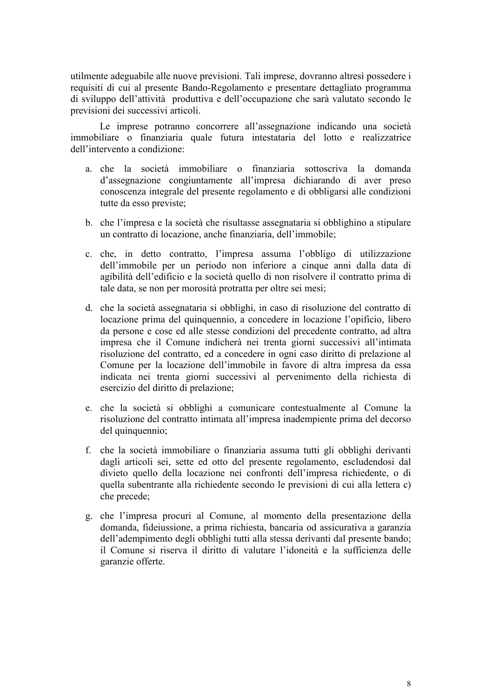utilmente adeguabile alle nuove previsioni. Tali imprese, dovranno altresì possedere i requisiti di cui al presente Bando-Regolamento e presentare dettagliato programma di sviluppo dell'attività produttiva e dell'occupazione che sarà valutato secondo le previsioni dei successivi articoli.

Le imprese potranno concorrere all'assegnazione indicando una società immobiliare o finanziaria quale futura intestataria del lotto e realizzatrice dell'intervento a condizione:

- a. che la società immobiliare o finanziaria sottoscriva la domanda d'assegnazione congiuntamente all'impresa dichiarando di aver preso conoscenza integrale del presente regolamento e di obbligarsi alle condizioni tutte da esso previste;
- b. che l'impresa e la società che risultasse assegnataria si obblighino a stipulare un contratto di locazione, anche finanziaria, dell'immobile;
- c. che, in detto contratto, l'impresa assuma l'obbligo di utilizzazione dell'immobile per un periodo non inferiore a cinque anni dalla data di agibilità dell'edificio e la società quello di non risolvere il contratto prima di tale data, se non per morosità protratta per oltre sei mesi;
- d. che la società assegnataria si obblighi, in caso di risoluzione del contratto di locazione prima del quinquennio, a concedere in locazione l'opificio, libero da persone e cose ed alle stesse condizioni del precedente contratto, ad altra impresa che il Comune indicherà nei trenta giorni successivi all'intimata risoluzione del contratto, ed a concedere in ogni caso diritto di prelazione al Comune per la locazione dell'immobile in favore di altra impresa da essa indicata nei trenta giorni successivi al pervenimento della richiesta di esercizio del diritto di prelazione;
- e. che la società si obblighi a comunicare contestualmente al Comune la risoluzione del contratto intimata all'impresa inadempiente prima del decorso del quinquennio;
- f. che la società immobiliare o finanziaria assuma tutti gli obblighi derivanti dagli articoli sei, sette ed otto del presente regolamento, escludendosi dal divieto quello della locazione nei confronti dell'impresa richiedente, o di quella subentrante alla richiedente secondo le previsioni di cui alla lettera c) che precede;
- g. che l'impresa procuri al Comune, al momento della presentazione della domanda, fideiussione, a prima richiesta, bancaria od assicurativa a garanzia dell'adempimento degli obblighi tutti alla stessa derivanti dal presente bando; il Comune si riserva il diritto di valutare l'idoneità e la sufficienza delle garanzie offerte.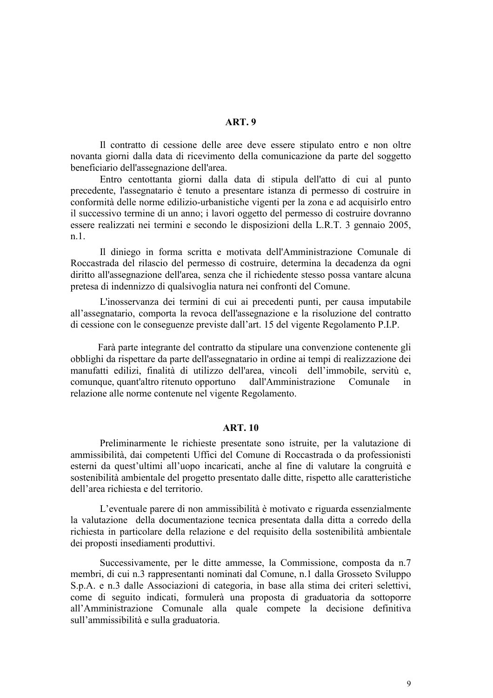#### **ART. 9**

Il contratto di cessione delle aree deve essere stipulato entro e non oltre novanta giorni dalla data di ricevimento della comunicazione da parte del soggetto beneficiario dell'assegnazione dell'area.

Entro centottanta giorni dalla data di stipula dell'atto di cui al punto precedente, l'assegnatario è tenuto a presentare istanza di permesso di costruire in conformità delle norme edilizio-urbanistiche vigenti per la zona e ad acquisirlo entro il successivo termine di un anno; i lavori oggetto del permesso di costruire dovranno essere realizzati nei termini e secondo le disposizioni della L.R.T. 3 gennaio 2005,  $n.1$ .

Il diniego in forma scritta e motivata dell'Amministrazione Comunale di Roccastrada del rilascio del permesso di costruire, determina la decadenza da ogni diritto all'assegnazione dell'area, senza che il richiedente stesso possa vantare alcuna pretesa di indennizzo di qualsivoglia natura nei confronti del Comune.

L'inosservanza dei termini di cui ai precedenti punti, per causa imputabile all'assegnatario, comporta la revoca dell'assegnazione e la risoluzione del contratto di cessione con le conseguenze previste dall'art. 15 del vigente Regolamento P.I.P.

Farà parte integrante del contratto da stipulare una convenzione contenente gli obblighi da rispettare da parte dell'assegnatario in ordine ai tempi di realizzazione dei manufatti edilizi, finalità di utilizzo dell'area, vincoli dell'immobile, servitù e, comunque, quant'altro ritenuto opportuno dall'Amministrazione Comunale  $in$ relazione alle norme contenute nel vigente Regolamento.

#### **ART. 10**

Preliminarmente le richieste presentate sono istruite, per la valutazione di ammissibilità, dai competenti Uffici del Comune di Roccastrada o da professionisti esterni da quest'ultimi all'uopo incaricati, anche al fine di valutare la congruità e sostenibilità ambientale del progetto presentato dalle ditte, rispetto alle caratteristiche dell'area richiesta e del territorio.

L'eventuale parere di non ammissibilità è motivato e riguarda essenzialmente la valutazione della documentazione tecnica presentata dalla ditta a corredo della richiesta in particolare della relazione e del requisito della sostenibilità ambientale dei proposti insediamenti produttivi.

Successivamente, per le ditte ammesse, la Commissione, composta da n.7 membri, di cui n.3 rappresentanti nominati dal Comune, n.1 dalla Grosseto Sviluppo S.p.A. e n.3 dalle Associazioni di categoria, in base alla stima dei criteri selettivi. come di seguito indicati, formulerà una proposta di graduatoria da sottoporre all'Amministrazione Comunale alla quale compete la decisione definitiva sull'ammissibilità e sulla graduatoria.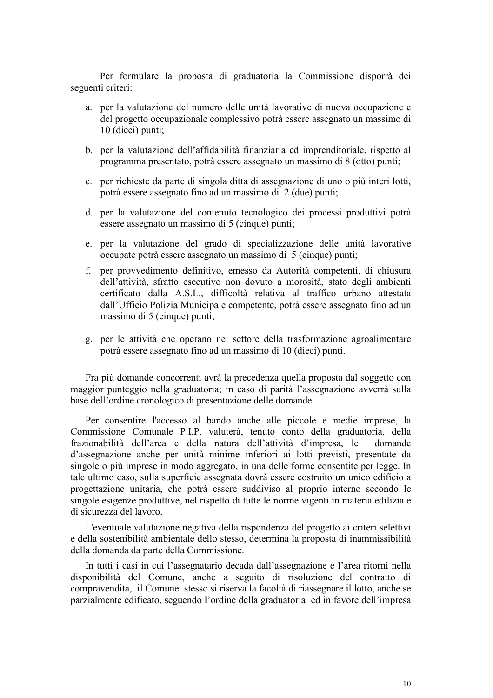Per formulare la proposta di graduatoria la Commissione disporrà dei seguenti criteri:

- a. per la valutazione del numero delle unità lavorative di nuova occupazione e del progetto occupazionale complessivo potrà essere assegnato un massimo di 10 (dieci) punti:
- b. per la valutazione dell'affidabilità finanziaria ed imprenditoriale, rispetto al programma presentato, potrà essere assegnato un massimo di 8 (otto) punti;
- c. per richieste da parte di singola ditta di assegnazione di uno o più interi lotti, potrà essere assegnato fino ad un massimo di 2 (due) punti;
- d. per la valutazione del contenuto tecnologico dei processi produttivi potrà essere assegnato un massimo di 5 (cinque) punti;
- e. per la valutazione del grado di specializzazione delle unità lavorative occupate potrà essere assegnato un massimo di 5 (cinque) punti;
- f. per provvedimento definitivo, emesso da Autorità competenti, di chiusura dell'attività, sfratto esecutivo non dovuto a morosità, stato degli ambienti certificato dalla A.S.L., difficoltà relativa al traffico urbano attestata dall'Ufficio Polizia Municipale competente, potrà essere assegnato fino ad un massimo di 5 (cinque) punti;
- g. per le attività che operano nel settore della trasformazione agroalimentare potrà essere assegnato fino ad un massimo di 10 (dieci) punti.

Fra più domande concorrenti avrà la precedenza quella proposta dal soggetto con maggior punteggio nella graduatoria; in caso di parità l'assegnazione avverrà sulla base dell'ordine cronologico di presentazione delle domande.

Per consentire l'accesso al bando anche alle piccole e medie imprese, la Commissione Comunale P.I.P. valuterà, tenuto conto della graduatoria, della frazionabilità dell'area e della natura dell'attività d'impresa, le domande d'assegnazione anche per unità minime inferiori ai lotti previsti, presentate da singole o più imprese in modo aggregato, in una delle forme consentite per legge. In tale ultimo caso, sulla superficie assegnata dovrà essere costruito un unico edificio a progettazione unitaria, che potrà essere suddiviso al proprio interno secondo le singole esigenze produttive, nel rispetto di tutte le norme vigenti in materia edilizia e di sicurezza del lavoro.

L'eventuale valutazione negativa della rispondenza del progetto ai criteri selettivi e della sostenibilità ambientale dello stesso, determina la proposta di inammissibilità della domanda da parte della Commissione.

In tutti i casi in cui l'assegnatario decada dall'assegnazione e l'area ritorni nella disponibilità del Comune, anche a seguito di risoluzione del contratto di compravendita, il Comune stesso si riserva la facoltà di riassegnare il lotto, anche se parzialmente edificato, seguendo l'ordine della graduatoria ed in favore dell'impresa